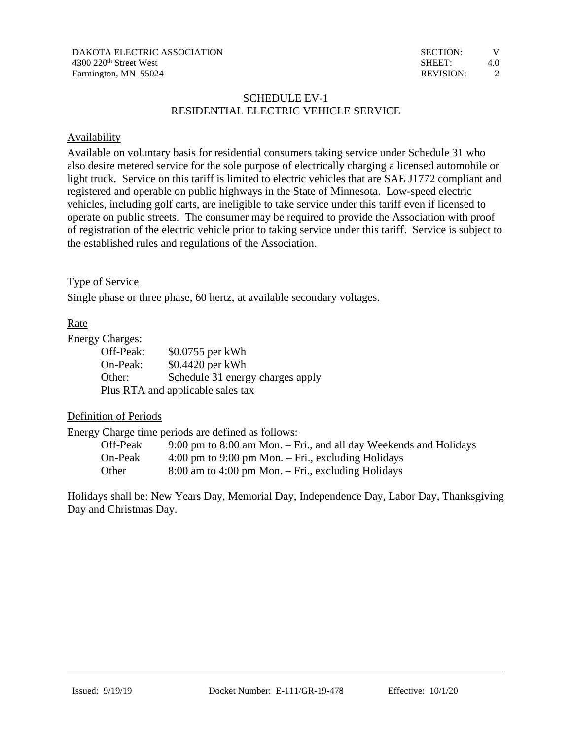# SCHEDULE EV-1 RESIDENTIAL ELECTRIC VEHICLE SERVICE

## **Availability**

Available on voluntary basis for residential consumers taking service under Schedule 31 who also desire metered service for the sole purpose of electrically charging a licensed automobile or light truck. Service on this tariff is limited to electric vehicles that are SAE J1772 compliant and registered and operable on public highways in the State of Minnesota. Low-speed electric vehicles, including golf carts, are ineligible to take service under this tariff even if licensed to operate on public streets. The consumer may be required to provide the Association with proof of registration of the electric vehicle prior to taking service under this tariff. Service is subject to the established rules and regulations of the Association.

### Type of Service

Single phase or three phase, 60 hertz, at available secondary voltages.

# Rate

#### Energy Charges:

| Off-Peak: | \$0.0755 per kWh                  |
|-----------|-----------------------------------|
| On-Peak:  | \$0.4420 per kWh                  |
| Other:    | Schedule 31 energy charges apply  |
|           | Plus RTA and applicable sales tax |

## Definition of Periods

Energy Charge time periods are defined as follows:

| Off-Peak | $9:00 \text{ pm}$ to $8:00 \text{ am}$ Mon. $-$ Fri., and all day Weekends and Holidays |
|----------|-----------------------------------------------------------------------------------------|
| On-Peak  | 4:00 pm to 9:00 pm Mon. $-$ Fri., excluding Holidays                                    |
| Other    | $8:00$ am to 4:00 pm Mon. – Fri., excluding Holidays                                    |

Holidays shall be: New Years Day, Memorial Day, Independence Day, Labor Day, Thanksgiving Day and Christmas Day.